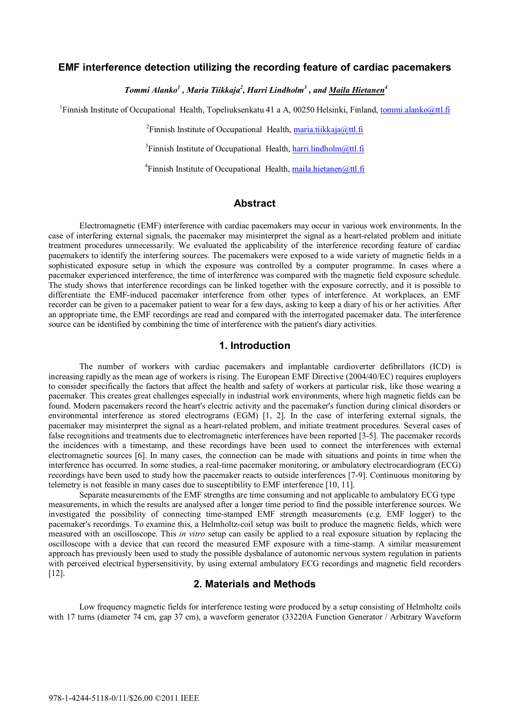### **EMF interference detection utilizing the recording feature of cardiac pacemakers**

### *Tommi Alanko<sup>1</sup> , Maria Tiikkaja<sup>2</sup> , Harri Lindholm<sup>3</sup> , and Maila Hietanen<sup>4</sup>*

<sup>1</sup>Finnish Institute of Occupational Health, Topeliuksenkatu 41 a A, 00250 Helsinki, Finland, tommi.alanko@ttl.fi

<sup>2</sup> Finnish Institute of Occupational Health, maria.tiikkaja@ttl.fi

<sup>3</sup> Finnish Institute of Occupational Health, harri.lindholm@ttl.fi

<sup>4</sup> Finnish Institute of Occupational Health, maila.hietanen@ttl.fi

# **Abstract**

Electromagnetic (EMF) interference with cardiac pacemakers may occur in various work environments. In the case of interfering external signals, the pacemaker may misinterpret the signal as a heart-related problem and initiate treatment procedures unnecessarily. We evaluated the applicability of the interference recording feature of cardiac pacemakers to identify the interfering sources. The pacemakers were exposed to a wide variety of magnetic fields in a sophisticated exposure setup in which the exposure was controlled by a computer programme. In cases where a pacemaker experienced interference, the time of interference was compared with the magnetic field exposure schedule. The study shows that interference recordings can be linked together with the exposure correctly, and it is possible to differentiate the EMF-induced pacemaker interference from other types of interference. At workplaces, an EMF recorder can be given to a pacemaker patient to wear for a few days, asking to keep a diary of his or her activities. After an appropriate time, the EMF recordings are read and compared with the interrogated pacemaker data. The interference source can be identified by combining the time of interference with the patient's diary activities.

# **1. Introduction**

The number of workers with cardiac pacemakers and implantable cardioverter defibrillators (ICD) is increasing rapidly as the mean age of workers is rising. The European EMF Directive (2004/40/EC) requires employers to consider specifically the factors that affect the health and safety of workers at particular risk, like those wearing a pacemaker. This creates great challenges especially in industrial work environments, where high magnetic fields can be found. Modern pacemakers record the heart's electric activity and the pacemaker's function during clinical disorders or environmental interference as stored electrograms (EGM) [1, 2]. In the case of interfering external signals, the pacemaker may misinterpret the signal as a heart-related problem, and initiate treatment procedures. Several cases of false recognitions and treatments due to electromagnetic interferences have been reported [3-5]. The pacemaker records the incidences with a timestamp, and these recordings have been used to connect the interferences with external electromagnetic sources [6]. In many cases, the connection can be made with situations and points in time when the interference has occurred. In some studies, a real-time pacemaker monitoring, or ambulatory electrocardiogram (ECG) recordings have been used to study how the pacemaker reacts to outside interferences [7-9]. Continuous monitoring by telemetry is not feasible in many cases due to susceptibility to EMF interference [10, 11].

Separate measurements of the EMF strengths are time consuming and not applicable to ambulatory ECG type measurements, in which the results are analysed after a longer time period to find the possible interference sources. We investigated the possibility of connecting time-stamped EMF strength measurements (e.g. EMF logger) to the pacemaker's recordings. To examine this, a Helmholtz-coil setup was built to produce the magnetic fields, which were measured with an oscilloscope. This *in vitro* setup can easily be applied to a real exposure situation by replacing the oscilloscope with a device that can record the measured EMF exposure with a time-stamp. A similar measurement approach has previously been used to study the possible dysbalance of autonomic nervous system regulation in patients with perceived electrical hypersensitivity, by using external ambulatory ECG recordings and magnetic field recorders [12].

### **2. Materials and Methods**

Low frequency magnetic fields for interference testing were produced by a setup consisting of Helmholtz coils with 17 turns (diameter 74 cm, gap 37 cm), a waveform generator (33220A Function Generator / Arbitrary Waveform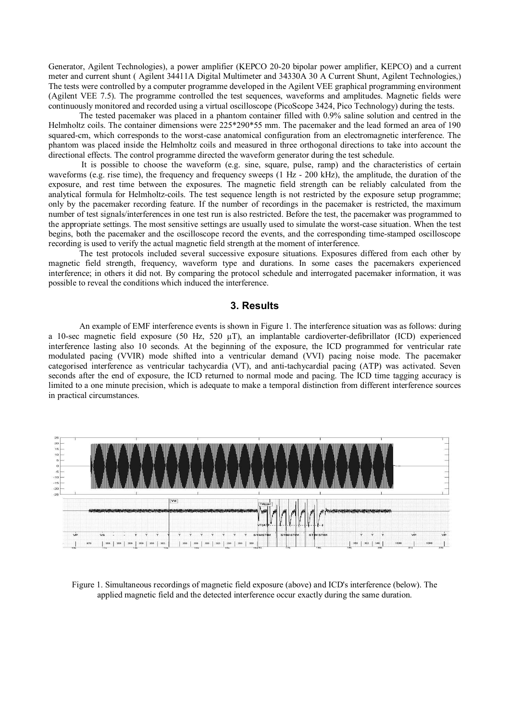Generator, Agilent Technologies), a power amplifier (KEPCO 20-20 bipolar power amplifier, KEPCO) and a current meter and current shunt ( Agilent 34411A Digital Multimeter and 34330A 30 A Current Shunt, Agilent Technologies,) The tests were controlled by a computer programme developed in the Agilent VEE graphical programming environment (Agilent VEE 7.5). The programme controlled the test sequences, waveforms and amplitudes. Magnetic fields were continuously monitored and recorded using a virtual oscilloscope (PicoScope 3424, Pico Technology) during the tests.

The tested pacemaker was placed in a phantom container filled with 0.9% saline solution and centred in the Helmholtz coils. The container dimensions were 225\*290\*55 mm. The pacemaker and the lead formed an area of 190 squared-cm, which corresponds to the worst-case anatomical configuration from an electromagnetic interference. The phantom was placed inside the Helmholtz coils and measured in three orthogonal directions to take into account the directional effects. The control programme directed the waveform generator during the test schedule.

 It is possible to choose the waveform (e.g. sine, square, pulse, ramp) and the characteristics of certain waveforms (e.g. rise time), the frequency and frequency sweeps (1 Hz - 200 kHz), the amplitude, the duration of the exposure, and rest time between the exposures. The magnetic field strength can be reliably calculated from the analytical formula for Helmholtz-coils. The test sequence length is not restricted by the exposure setup programme; only by the pacemaker recording feature. If the number of recordings in the pacemaker is restricted, the maximum number of test signals/interferences in one test run is also restricted. Before the test, the pacemaker was programmed to the appropriate settings. The most sensitive settings are usually used to simulate the worst-case situation. When the test begins, both the pacemaker and the oscilloscope record the events, and the corresponding time-stamped oscilloscope recording is used to verify the actual magnetic field strength at the moment of interference.

The test protocols included several successive exposure situations. Exposures differed from each other by magnetic field strength, frequency, waveform type and durations. In some cases the pacemakers experienced interference; in others it did not. By comparing the protocol schedule and interrogated pacemaker information, it was possible to reveal the conditions which induced the interference.

### **3. Results**

An example of EMF interference events is shown in Figure 1. The interference situation was as follows: during a 10-sec magnetic field exposure (50 Hz, 520 µT), an implantable cardioverter-defibrillator (ICD) experienced interference lasting also 10 seconds. At the beginning of the exposure, the ICD programmed for ventricular rate modulated pacing (VVIR) mode shifted into a ventricular demand (VVI) pacing noise mode. The pacemaker categorised interference as ventricular tachycardia (VT), and anti-tachycardial pacing (ATP) was activated. Seven seconds after the end of exposure, the ICD returned to normal mode and pacing. The ICD time tagging accuracy is limited to a one minute precision, which is adequate to make a temporal distinction from different interference sources in practical circumstances.



Figure 1. Simultaneous recordings of magnetic field exposure (above) and ICD's interference (below). The applied magnetic field and the detected interference occur exactly during the same duration.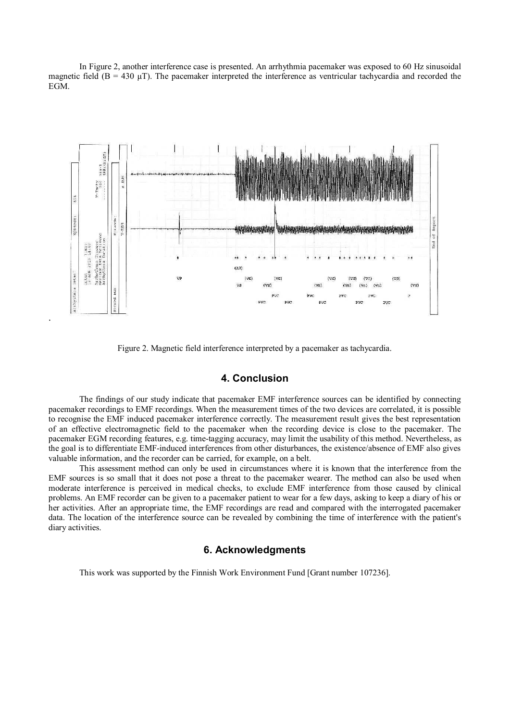In Figure 2, another interference case is presented. An arrhythmia pacemaker was exposed to 60 Hz sinusoidal magnetic field ( $B = 430 \mu T$ ). The pacemaker interpreted the interference as ventricular tachycardia and recorded the EGM.



Figure 2. Magnetic field interference interpreted by a pacemaker as tachycardia.

### **4. Conclusion**

The findings of our study indicate that pacemaker EMF interference sources can be identified by connecting pacemaker recordings to EMF recordings. When the measurement times of the two devices are correlated, it is possible to recognise the EMF induced pacemaker interference correctly. The measurement result gives the best representation of an effective electromagnetic field to the pacemaker when the recording device is close to the pacemaker. The pacemaker EGM recording features, e.g. time-tagging accuracy, may limit the usability of this method. Nevertheless, as the goal is to differentiate EMF-induced interferences from other disturbances, the existence/absence of EMF also gives valuable information, and the recorder can be carried, for example, on a belt.

This assessment method can only be used in circumstances where it is known that the interference from the EMF sources is so small that it does not pose a threat to the pacemaker wearer. The method can also be used when moderate interference is perceived in medical checks, to exclude EMF interference from those caused by clinical problems. An EMF recorder can be given to a pacemaker patient to wear for a few days, asking to keep a diary of his or her activities. After an appropriate time, the EMF recordings are read and compared with the interrogated pacemaker data. The location of the interference source can be revealed by combining the time of interference with the patient's diary activities.

# **6. Acknowledgments**

This work was supported by the Finnish Work Environment Fund [Grant number 107236].